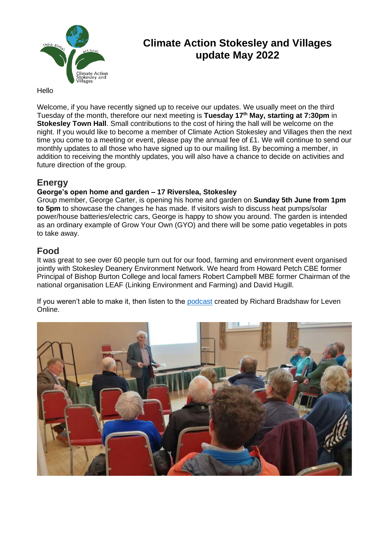

# **Climate Action Stokesley and Villages update May 2022**

### Hello

Welcome, if you have recently signed up to receive our updates. We usually meet on the third Tuesday of the month, therefore our next meeting is **Tuesday 17th May, starting at 7:30pm** in **Stokesley Town Hall**. Small contributions to the cost of hiring the hall will be welcome on the night. If you would like to become a member of Climate Action Stokesley and Villages then the next time you come to a meeting or event, please pay the annual fee of £1. We will continue to send our monthly updates to all those who have signed up to our mailing list. By becoming a member, in addition to receiving the monthly updates, you will also have a chance to decide on activities and future direction of the group.

## **Energy**

### **George's open home and garden – 17 Riverslea, Stokesley**

Group member, George Carter, is opening his home and garden on **Sunday 5th June from 1pm to 5pm** to showcase the changes he has made. If visitors wish to discuss heat pumps/solar power/house batteries/electric cars, George is happy to show you around. The garden is intended as an ordinary example of Grow Your Own (GYO) and there will be some patio vegetables in pots to take away.

## **Food**

It was great to see over 60 people turn out for our food, farming and environment event organised jointly with Stokesley Deanery Environment Network. We heard from Howard Petch CBE former Principal of Bishop Burton College and local famers Robert Campbell MBE former Chairman of the national organisation LEAF (Linking Environment and Farming) and David Hugill.

If you weren't able to make it, then listen to the [podcast](https://levenonlinecouk.files.wordpress.com/2022/05/casav-podcast-april-26-v.2.mp3) created by Richard Bradshaw for Leven Online.

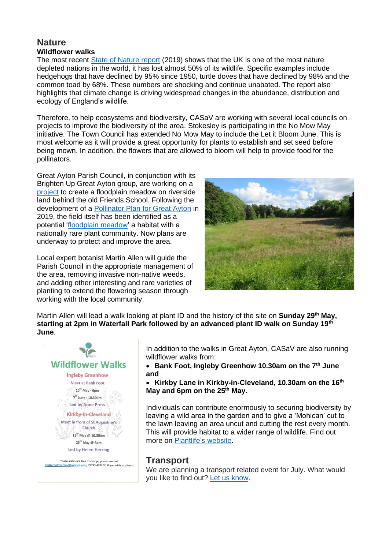### **Nature Wildflower walks**

The most recent [State of Nature report](https://nbn.org.uk/stateofnature2019/) (2019) shows that the UK is one of the most nature depleted nations in the world, it has lost almost 50% of its wildlife. Specific examples include hedgehogs that have declined by 95% since 1950, turtle doves that have declined by 98% and the common toad by 68%. These numbers are shocking and continue unabated. The report also highlights that climate change is driving widespread changes in the abundance, distribution and ecology of England's wildlife.

Therefore, to help ecosystems and biodiversity, CASaV are working with several local councils on projects to improve the biodiversity of the area. Stokesley is participating in the No Mow May initiative. The Town Council has extended No Mow May to include the Let it Bloom June. This is most welcome as it will provide a great opportunity for plants to establish and set seed before being mown. In addition, the flowers that are allowed to bloom will help to provide food for the pollinators.

Great Ayton Parish Council, in conjunction with its Brighten Up Great Ayton group, are working on a [project](https://climateactionstokesleyandvillages.org/nature/floodplain-meadow/) to create a floodplain meadow on riverside land behind the old Friends School. Following the development of a [Pollinator Plan for Great Ayton](https://climateactionstokesleyandvillages.files.wordpress.com/2022/03/great-ayton-pollinator-plan-updated-june-2019.pdf) in 2019, the field itself has been identified as a potential ['floodplain meadow'](https://www.floodplainmeadows.org.uk/about-meadow/conservation) a habitat with a nationally rare plant community. Now plans are underway to protect and improve the area.

Local expert botanist Martin Allen will guide the Parish Council in the appropriate management of the area, removing invasive non-native weeds. and adding other interesting and rare varieties of planting to extend the flowering season through working with the local community.



Martin Allen will lead a walk looking at plant ID and the history of the site on **Sunday 29th May, starting at 2pm in Waterfall Park followed by an advanced plant ID walk on Sunday 19th June**.



In addition to the walks in Great Ayton, CASaV are also running wildflower walks from:

- **Bank Foot, Ingleby Greenhow 10.30am on the 7th June and**
- **Kirkby Lane in Kirkby-in-Cleveland, 10.30am on the 16th May and 6pm on the 25th May.**

Individuals can contribute enormously to securing biodiversity by leaving a wild area in the garden and to give a 'Mohican' cut to the lawn leaving an area uncut and cutting the rest every month. This will provide habitat to a wider range of wildlife. Find out more on [Plantlife's website.](http://www.plantlife.org.uk/)

## **Transport**

We are planning a transport related event for July. What would you like to find out? [Let us know.](mailto:climateactionsav@gmail.com)